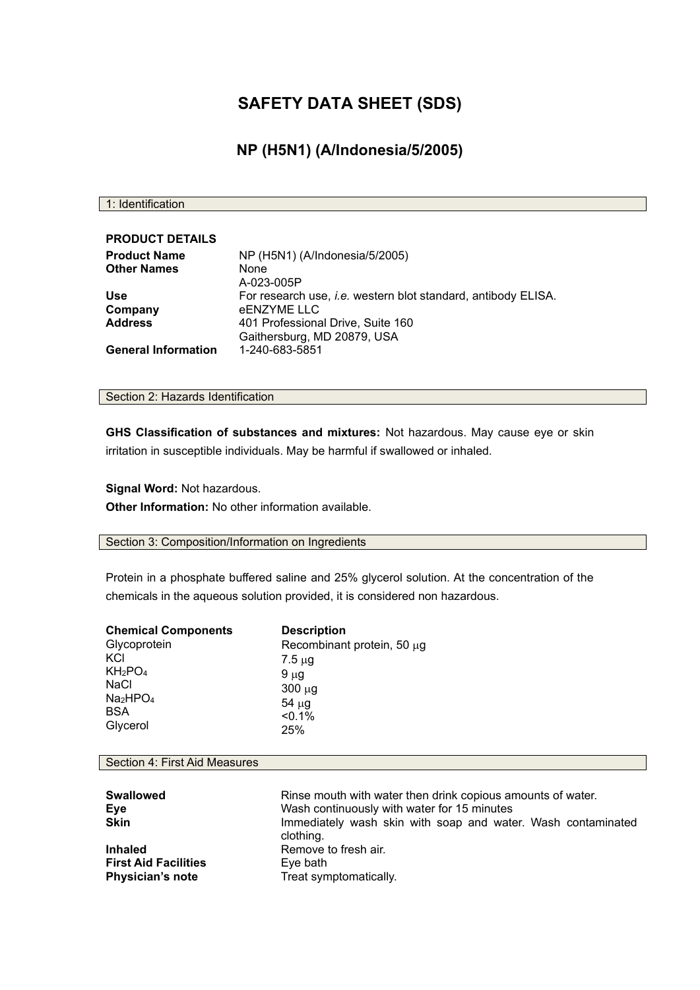# **SAFETY DATA SHEET (SDS)**

## **NP (H5N1) (A/Indonesia/5/2005)**

1: Identification

| <b>PRODUCT DETAILS</b>     |                                                                      |
|----------------------------|----------------------------------------------------------------------|
| <b>Product Name</b>        | NP (H5N1) (A/Indonesia/5/2005)                                       |
| <b>Other Names</b>         | <b>None</b><br>A-023-005P                                            |
| <b>Use</b>                 | For research use, <i>i.e.</i> western blot standard, antibody ELISA. |
| Company                    | eENZYME LLC                                                          |
| <b>Address</b>             | 401 Professional Drive, Suite 160                                    |
|                            | Gaithersburg, MD 20879, USA                                          |
| <b>General Information</b> | 1-240-683-5851                                                       |

### Section 2: Hazards Identification

**GHS Classification of substances and mixtures:** Not hazardous. May cause eye or skin irritation in susceptible individuals. May be harmful if swallowed or inhaled.

**Signal Word:** Not hazardous. **Other Information:** No other information available.

#### Section 3: Composition/Information on Ingredients

Protein in a phosphate buffered saline and 25% glycerol solution. At the concentration of the chemicals in the aqueous solution provided, it is considered non hazardous.

| <b>Chemical Components</b>       | <b>Description</b>              |
|----------------------------------|---------------------------------|
| Glycoprotein                     | Recombinant protein, 50 $\mu$ g |
| KCI                              | $7.5 \mu$ g                     |
| KH <sub>2</sub> PO <sub>4</sub>  | $9 \mu g$                       |
| <b>NaCl</b>                      | $300 \mu g$                     |
| Na <sub>2</sub> HPO <sub>4</sub> | $54 \mu g$                      |
| <b>BSA</b>                       | < 0.1%                          |
| Glycerol                         | 25%                             |

#### Section 4: First Aid Measures

| <b>Swallowed</b><br><b>Eye</b><br><b>Skin</b> | Rinse mouth with water then drink copious amounts of water.<br>Wash continuously with water for 15 minutes<br>Immediately wash skin with soap and water. Wash contaminated<br>clothing. |
|-----------------------------------------------|-----------------------------------------------------------------------------------------------------------------------------------------------------------------------------------------|
| <b>Inhaled</b>                                | Remove to fresh air.                                                                                                                                                                    |
| <b>First Aid Facilities</b>                   | Eye bath                                                                                                                                                                                |
| <b>Physician's note</b>                       | Treat symptomatically.                                                                                                                                                                  |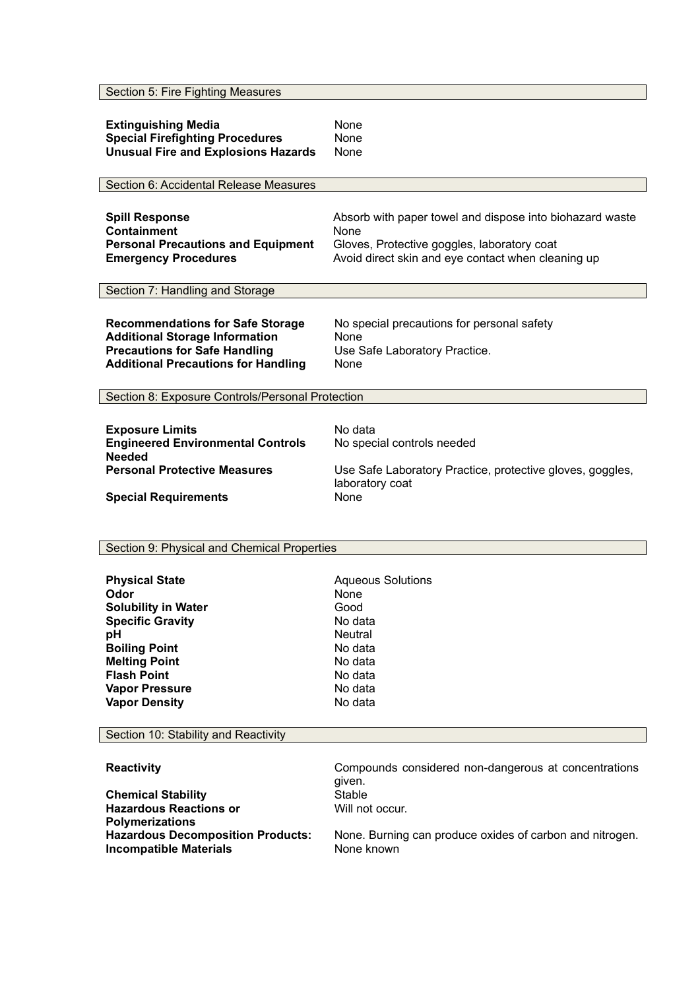Section 5: Fire Fighting Measures

| <b>Extinguishing Media</b>                 | None |
|--------------------------------------------|------|
| <b>Special Firefighting Procedures</b>     | None |
| <b>Unusual Fire and Explosions Hazards</b> | None |

Section 6: Accidental Release Measures

| <b>Spill Response</b>                     | Absorb with paper towel and dispose into biohazard waste |
|-------------------------------------------|----------------------------------------------------------|
| Containment                               | None                                                     |
| <b>Personal Precautions and Equipment</b> | Gloves, Protective goggles, laboratory coat              |
| <b>Emergency Procedures</b>               | Avoid direct skin and eye contact when cleaning up       |

Section 7: Handling and Storage

| <b>Recommendations for Safe Storage</b>    | No special precautions for personal safety |
|--------------------------------------------|--------------------------------------------|
| <b>Additional Storage Information</b>      | None                                       |
| <b>Precautions for Safe Handling</b>       | Use Safe Laboratory Practice.              |
| <b>Additional Precautions for Handling</b> | None                                       |

Section 8: Exposure Controls/Personal Protection

| <b>Exposure Limits</b>                                    | No data                                                                      |
|-----------------------------------------------------------|------------------------------------------------------------------------------|
| <b>Engineered Environmental Controls</b><br><b>Needed</b> | No special controls needed                                                   |
| <b>Personal Protective Measures</b>                       | Use Safe Laboratory Practice, protective gloves, goggles,<br>laboratory coat |
| <b>Special Requirements</b>                               | None                                                                         |

#### Section 9: Physical and Chemical Properties

| <b>Physical State</b><br>Odor<br><b>Solubility in Water</b><br><b>Specific Gravity</b><br>рH<br><b>Boiling Point</b><br><b>Melting Point</b><br><b>Flash Point</b><br><b>Vapor Pressure</b> | <b>Aqueous Solutions</b><br>None<br>Good<br>No data<br><b>Neutral</b><br>No data<br>No data<br>No data<br>No data |
|---------------------------------------------------------------------------------------------------------------------------------------------------------------------------------------------|-------------------------------------------------------------------------------------------------------------------|
| <b>Vapor Density</b>                                                                                                                                                                        | No data                                                                                                           |
|                                                                                                                                                                                             |                                                                                                                   |

Section 10: Stability and Reactivity

**Reactivity Reactivity Compounds** considered non-dangerous at concentrations given.<br>Stable **Chemical Stability Hazardous Reactions or Polymerizations** Will not occur. None. Burning can produce oxides of carbon and nitrogen. **Incompatible Materials** None known